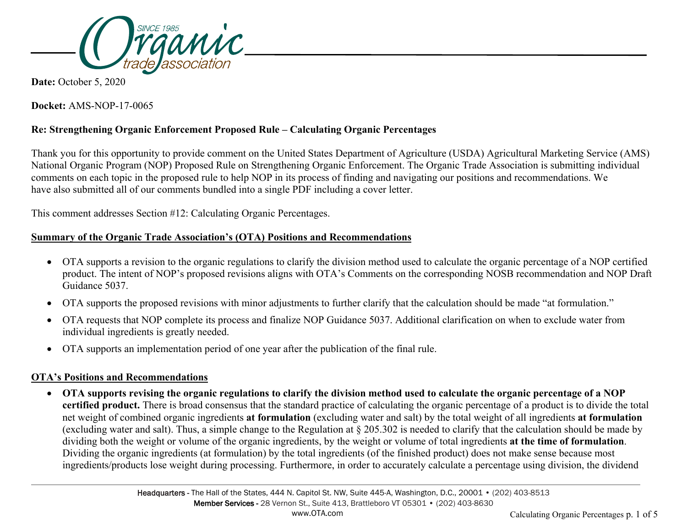

**Date:** October 5, 2020

**Docket:** AMS-NOP-17-0065

# **Re: Strengthening Organic Enforcement Proposed Rule – Calculating Organic Percentages**

Thank you for this opportunity to provide comment on the United States Department of Agriculture (USDA) Agricultural Marketing Service (AMS) National Organic Program (NOP) Proposed Rule on Strengthening Organic Enforcement. The Organic Trade Association is submitting individual comments on each topic in the proposed rule to help NOP in its process of finding and navigating our positions and recommendations. We have also submitted all of our comments bundled into a single PDF including a cover letter.

This comment addresses Section #12: Calculating Organic Percentages.

### **Summary of the Organic Trade Association's (OTA) Positions and Recommendations**

- OTA supports a revision to the organic regulations to clarify the division method used to calculate the organic percentage of a NOP certified product. The intent of NOP's proposed revisions aligns with OTA's Comments on the corresponding NOSB recommendation and NOP Draft Guidance 5037.
- OTA supports the proposed revisions with minor adjustments to further clarify that the calculation should be made "at formulation."
- OTA requests that NOP complete its process and finalize NOP Guidance 5037. Additional clarification on when to exclude water from individual ingredients is greatly needed.
- OTA supports an implementation period of one year after the publication of the final rule.

## **OTA's Positions and Recommendations**

• **OTA supports revising the organic regulations to clarify the division method used to calculate the organic percentage of a NOP certified product.** There is broad consensus that the standard practice of calculating the organic percentage of a product is to divide the total net weight of combined organic ingredients **at formulation** (excluding water and salt) by the total weight of all ingredients **at formulation** (excluding water and salt). Thus, a simple change to the Regulation at § 205.302 is needed to clarify that the calculation should be made by dividing both the weight or volume of the organic ingredients, by the weight or volume of total ingredients **at the time of formulation**. Dividing the organic ingredients (at formulation) by the total ingredients (of the finished product) does not make sense because most ingredients/products lose weight during processing. Furthermore, in order to accurately calculate a percentage using division, the dividend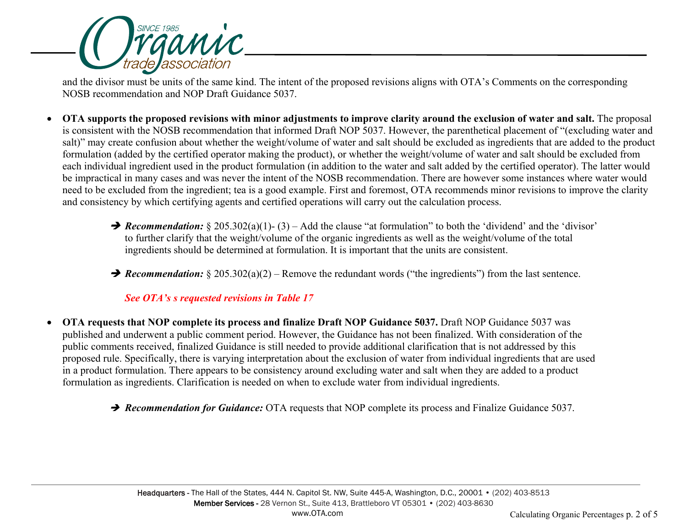

and the divisor must be units of the same kind. The intent of the proposed revisions aligns with OTA's Comments on the corresponding NOSB recommendation and NOP Draft Guidance 5037.

- **OTA supports the proposed revisions with minor adjustments to improve clarity around the exclusion of water and salt.** The proposal is consistent with the NOSB recommendation that informed Draft NOP 5037. However, the parenthetical placement of "(excluding water and salt)" may create confusion about whether the weight/volume of water and salt should be excluded as ingredients that are added to the product formulation (added by the certified operator making the product), or whether the weight/volume of water and salt should be excluded from each individual ingredient used in the product formulation (in addition to the water and salt added by the certified operator). The latter would be impractical in many cases and was never the intent of the NOSB recommendation. There are however some instances where water would need to be excluded from the ingredient; tea is a good example. First and foremost, OTA recommends minor revisions to improve the clarity and consistency by which certifying agents and certified operations will carry out the calculation process.
	- *Recommendation:* § 205.302(a)(1)-(3) Add the clause "at formulation" to both the 'dividend' and the 'divisor' to further clarify that the weight/volume of the organic ingredients as well as the weight/volume of the total ingredients should be determined at formulation. It is important that the units are consistent.
	- → *Recommendation:*  $§ 205.302(a)(2) -$  Remove the redundant words ("the ingredients") from the last sentence.

#### *See OTA's s requested revisions in Table 17*

- **OTA requests that NOP complete its process and finalize Draft NOP Guidance 5037.** Draft NOP Guidance 5037 was published and underwent a public comment period. However, the Guidance has not been finalized. With consideration of the public comments received, finalized Guidance is still needed to provide additional clarification that is not addressed by this proposed rule. Specifically, there is varying interpretation about the exclusion of water from individual ingredients that are used in a product formulation. There appears to be consistency around excluding water and salt when they are added to a product formulation as ingredients. Clarification is needed on when to exclude water from individual ingredients.
	- → Recommendation for Guidance: OTA requests that NOP complete its process and Finalize Guidance 5037.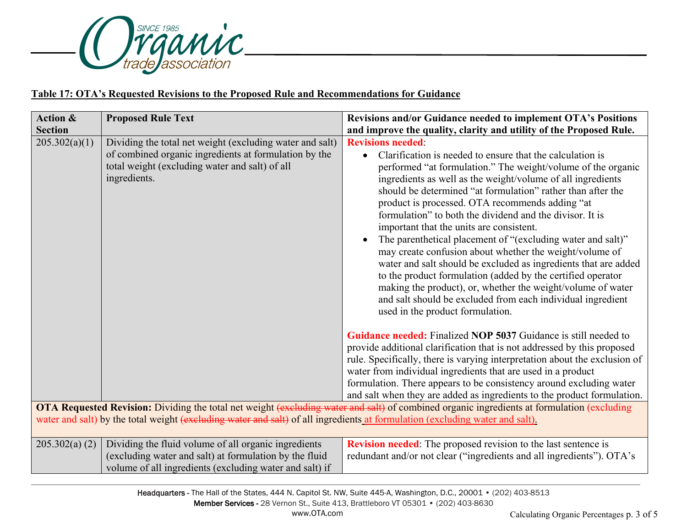

# **Table 17: OTA's Requested Revisions to the Proposed Rule and Recommendations for Guidance**

| <b>Action &amp;</b><br><b>Section</b> | <b>Proposed Rule Text</b>                                                                                                                                                           | Revisions and/or Guidance needed to implement OTA's Positions<br>and improve the quality, clarity and utility of the Proposed Rule.                                                                                                                                                                                                                                                                                                                                                                                                                                                                                                                                                                                                                                                                                                                                                                    |
|---------------------------------------|-------------------------------------------------------------------------------------------------------------------------------------------------------------------------------------|--------------------------------------------------------------------------------------------------------------------------------------------------------------------------------------------------------------------------------------------------------------------------------------------------------------------------------------------------------------------------------------------------------------------------------------------------------------------------------------------------------------------------------------------------------------------------------------------------------------------------------------------------------------------------------------------------------------------------------------------------------------------------------------------------------------------------------------------------------------------------------------------------------|
| 205.302(a)(1)                         | Dividing the total net weight (excluding water and salt)<br>of combined organic ingredients at formulation by the<br>total weight (excluding water and salt) of all<br>ingredients. | <b>Revisions needed:</b><br>Clarification is needed to ensure that the calculation is<br>$\bullet$<br>performed "at formulation." The weight/volume of the organic<br>ingredients as well as the weight/volume of all ingredients<br>should be determined "at formulation" rather than after the<br>product is processed. OTA recommends adding "at<br>formulation" to both the dividend and the divisor. It is<br>important that the units are consistent.<br>The parenthetical placement of "(excluding water and salt)"<br>$\bullet$<br>may create confusion about whether the weight/volume of<br>water and salt should be excluded as ingredients that are added<br>to the product formulation (added by the certified operator<br>making the product), or, whether the weight/volume of water<br>and salt should be excluded from each individual ingredient<br>used in the product formulation. |
|                                       | water and salt) by the total weight (excluding water and salt) of all ingredients at formulation (excluding water and salt).                                                        | <b>Guidance needed:</b> Finalized NOP 5037 Guidance is still needed to<br>provide additional clarification that is not addressed by this proposed<br>rule. Specifically, there is varying interpretation about the exclusion of<br>water from individual ingredients that are used in a product<br>formulation. There appears to be consistency around excluding water<br>and salt when they are added as ingredients to the product formulation.<br>OTA Requested Revision: Dividing the total net weight (excluding water and salt) of combined organic ingredients at formulation (excluding                                                                                                                                                                                                                                                                                                        |
| 205.302(a) (2)                        | Dividing the fluid volume of all organic ingredients<br>(excluding water and salt) at formulation by the fluid<br>volume of all ingredients (excluding water and salt) if           | <b>Revision needed:</b> The proposed revision to the last sentence is<br>redundant and/or not clear ("ingredients and all ingredients"). OTA's                                                                                                                                                                                                                                                                                                                                                                                                                                                                                                                                                                                                                                                                                                                                                         |

Headquarters - The Hall of the States, 444 N. Capitol St. NW, Suite 445-A, Washington, D.C., 20001 • (202) 403-8513 Member Services - 28 Vernon St., Suite 413, Brattleboro VT 05301 • (202) 403-8630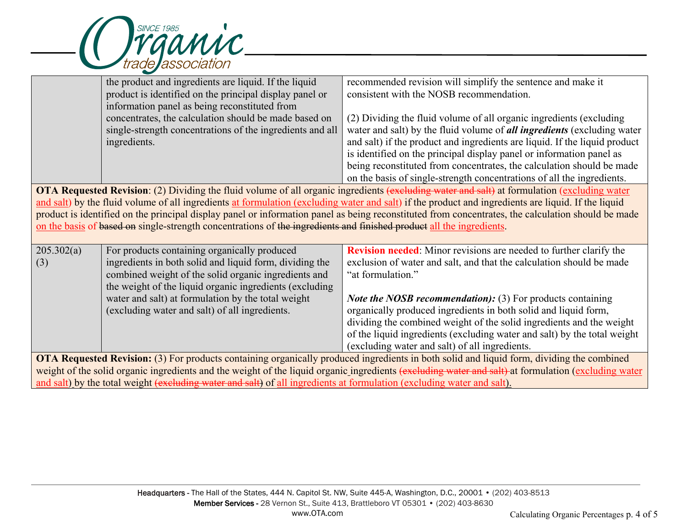

|                                                                                                                                                     | the product and ingredients are liquid. If the liquid                                                                  | recommended revision will simplify the sentence and make it                                                                                         |  |  |
|-----------------------------------------------------------------------------------------------------------------------------------------------------|------------------------------------------------------------------------------------------------------------------------|-----------------------------------------------------------------------------------------------------------------------------------------------------|--|--|
|                                                                                                                                                     | product is identified on the principal display panel or                                                                | consistent with the NOSB recommendation.                                                                                                            |  |  |
|                                                                                                                                                     | information panel as being reconstituted from                                                                          |                                                                                                                                                     |  |  |
|                                                                                                                                                     | concentrates, the calculation should be made based on                                                                  | (2) Dividing the fluid volume of all organic ingredients (excluding                                                                                 |  |  |
|                                                                                                                                                     | single-strength concentrations of the ingredients and all                                                              | water and salt) by the fluid volume of <i>all ingredients</i> (excluding water                                                                      |  |  |
|                                                                                                                                                     | ingredients.                                                                                                           | and salt) if the product and ingredients are liquid. If the liquid product                                                                          |  |  |
|                                                                                                                                                     |                                                                                                                        | is identified on the principal display panel or information panel as                                                                                |  |  |
|                                                                                                                                                     |                                                                                                                        | being reconstituted from concentrates, the calculation should be made                                                                               |  |  |
|                                                                                                                                                     |                                                                                                                        | on the basis of single-strength concentrations of all the ingredients.                                                                              |  |  |
| <b>OTA Requested Revision</b> : (2) Dividing the fluid volume of all organic ingredients (excluding water and salt) at formulation (excluding water |                                                                                                                        |                                                                                                                                                     |  |  |
| and salt) by the fluid volume of all ingredients at formulation (excluding water and salt) if the product and ingredients are liquid. If the liquid |                                                                                                                        |                                                                                                                                                     |  |  |
| product is identified on the principal display panel or information panel as being reconstituted from concentrates, the calculation should be made  |                                                                                                                        |                                                                                                                                                     |  |  |
| on the basis of based on single-strength concentrations of the ingredients and finished product all the ingredients.                                |                                                                                                                        |                                                                                                                                                     |  |  |
|                                                                                                                                                     |                                                                                                                        |                                                                                                                                                     |  |  |
| 205.302(a)                                                                                                                                          | For products containing organically produced                                                                           | <b>Revision needed:</b> Minor revisions are needed to further clarify the                                                                           |  |  |
| (3)                                                                                                                                                 | ingredients in both solid and liquid form, dividing the                                                                | exclusion of water and salt, and that the calculation should be made                                                                                |  |  |
|                                                                                                                                                     |                                                                                                                        |                                                                                                                                                     |  |  |
|                                                                                                                                                     | combined weight of the solid organic ingredients and                                                                   | "at formulation."                                                                                                                                   |  |  |
|                                                                                                                                                     | the weight of the liquid organic ingredients (excluding                                                                |                                                                                                                                                     |  |  |
|                                                                                                                                                     | water and salt) at formulation by the total weight                                                                     | <i>Note the NOSB recommendation):</i> (3) For products containing                                                                                   |  |  |
|                                                                                                                                                     | (excluding water and salt) of all ingredients.                                                                         | organically produced ingredients in both solid and liquid form,                                                                                     |  |  |
|                                                                                                                                                     |                                                                                                                        | dividing the combined weight of the solid ingredients and the weight                                                                                |  |  |
|                                                                                                                                                     |                                                                                                                        | of the liquid ingredients (excluding water and salt) by the total weight                                                                            |  |  |
|                                                                                                                                                     |                                                                                                                        | (excluding water and salt) of all ingredients.                                                                                                      |  |  |
|                                                                                                                                                     |                                                                                                                        | <b>OTA Requested Revision:</b> (3) For products containing organically produced ingredients in both solid and liquid form, dividing the combined    |  |  |
|                                                                                                                                                     | and salt) by the total weight (excluding water and salt) of all ingredients at formulation (excluding water and salt). | weight of the solid organic ingredients and the weight of the liquid organic ingredients (excluding water and salt) at formulation (excluding water |  |  |